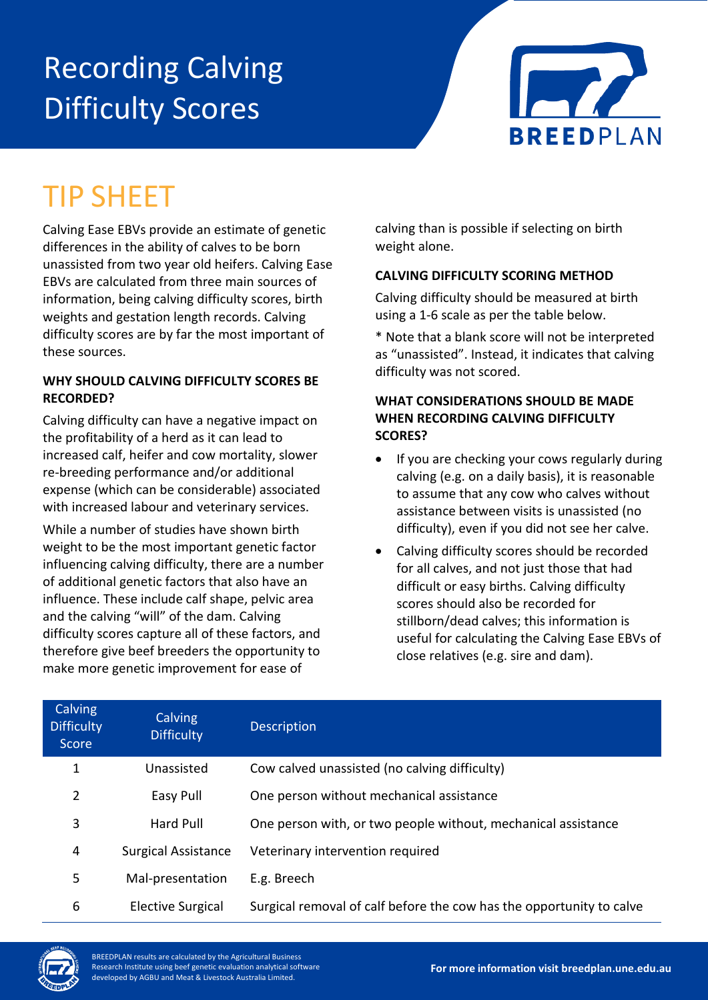# Recording Calving Difficulty Scores



# TIP SHEET

Calving Ease EBVs provide an estimate of genetic differences in the ability of calves to be born unassisted from two year old heifers. Calving Ease EBVs are calculated from three main sources of information, being calving difficulty scores, birth weights and gestation length records. Calving difficulty scores are by far the most important of these sources.

#### **WHY SHOULD CALVING DIFFICULTY SCORES BE RECORDED?**

Calving difficulty can have a negative impact on the profitability of a herd as it can lead to increased calf, heifer and cow mortality, slower re-breeding performance and/or additional expense (which can be considerable) associated with increased labour and veterinary services.

While a number of studies have shown birth weight to be the most important genetic factor influencing calving difficulty, there are a number of additional genetic factors that also have an influence. These include calf shape, pelvic area and the calving "will" of the dam. Calving difficulty scores capture all of these factors, and therefore give beef breeders the opportunity to make more genetic improvement for ease of

calving than is possible if selecting on birth weight alone.

## **CALVING DIFFICULTY SCORING METHOD**

Calving difficulty should be measured at birth using a 1-6 scale as per the table below.

\* Note that a blank score will not be interpreted as "unassisted". Instead, it indicates that calving difficulty was not scored.

### **WHAT CONSIDERATIONS SHOULD BE MADE WHEN RECORDING CALVING DIFFICULTY SCORES?**

- If you are checking your cows regularly during calving (e.g. on a daily basis), it is reasonable to assume that any cow who calves without assistance between visits is unassisted (no difficulty), even if you did not see her calve.
- Calving difficulty scores should be recorded for all calves, and not just those that had difficult or easy births. Calving difficulty scores should also be recorded for stillborn/dead calves; this information is useful for calculating the Calving Ease EBVs of close relatives (e.g. sire and dam).

| Calving<br><b>Difficulty</b><br>Score | Calving<br><b>Difficulty</b> | <b>Description</b>                                                   |
|---------------------------------------|------------------------------|----------------------------------------------------------------------|
| 1                                     | Unassisted                   | Cow calved unassisted (no calving difficulty)                        |
| 2                                     | Easy Pull                    | One person without mechanical assistance                             |
| 3                                     | <b>Hard Pull</b>             | One person with, or two people without, mechanical assistance        |
| 4                                     | <b>Surgical Assistance</b>   | Veterinary intervention required                                     |
| 5                                     | Mal-presentation             | E.g. Breech                                                          |
| 6                                     | <b>Elective Surgical</b>     | Surgical removal of calf before the cow has the opportunity to calve |